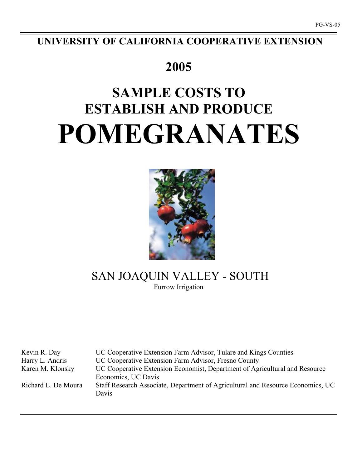**UNIVERSITY OF CALIFORNIA COOPERATIVE EXTENSION**

## **2005**

# **SAMPLE COSTS TO ESTABLISH AND PRODUCE POMEGRANATES**



## SAN JOAQUIN VALLEY - SOUTH Furrow Irrigation

Kevin R. Day UC Cooperative Extension Farm Advisor, Tulare and Kings Counties Harry L. Andris UC Cooperative Extension Farm Advisor, Fresno County Karen M. Klonsky UC Cooperative Extension Economist, Department of Agricultural and Resource Economics, UC Davis Richard L. De Moura Staff Research Associate, Department of Agricultural and Resource Economics, UC Davis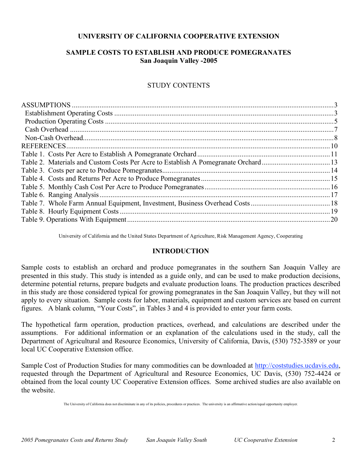## **UNIVERSITY OF CALIFORNIA COOPERATIVE EXTENSION**

## **SAMPLE COSTS TO ESTABLISH AND PRODUCE POMEGRANATES San Joaquin Valley -2005**

## STUDY CONTENTS

| <b>REFERENCES.</b> |  |
|--------------------|--|
|                    |  |
|                    |  |
|                    |  |
|                    |  |
|                    |  |
|                    |  |
|                    |  |
|                    |  |
|                    |  |
|                    |  |

University of California and the United States Department of Agriculture, Risk Management Agency, Cooperating

## **INTRODUCTION**

Sample costs to establish an orchard and produce pomegranates in the southern San Joaquin Valley are presented in this study. This study is intended as a guide only, and can be used to make production decisions, determine potential returns, prepare budgets and evaluate production loans. The production practices described in this study are those considered typical for growing pomegranates in the San Joaquin Valley, but they will not apply to every situation. Sample costs for labor, materials, equipment and custom services are based on current figures. A blank column, "Your Costs", in Tables 3 and 4 is provided to enter your farm costs.

The hypothetical farm operation, production practices, overhead, and calculations are described under the assumptions. For additional information or an explanation of the calculations used in the study, call the Department of Agricultural and Resource Economics, University of California, Davis, (530) 752-3589 or your local UC Cooperative Extension office.

Sample Cost of Production Studies for many commodities can be downloaded at http://coststudies.ucdavis.edu, requested through the Department of Agricultural and Resource Economics, UC Davis, (530) 752-4424 or obtained from the local county UC Cooperative Extension offices. Some archived studies are also available on the website.

The University of California does not discriminate in any of its policies, procedures or practices. The university is an affirmative action/equal opportunity employer.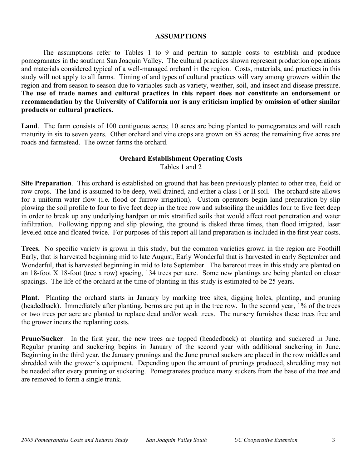### **ASSUMPTIONS**

The assumptions refer to Tables 1 to 9 and pertain to sample costs to establish and produce pomegranates in the southern San Joaquin Valley. The cultural practices shown represent production operations and materials considered typical of a well-managed orchard in the region. Costs, materials, and practices in this study will not apply to all farms. Timing of and types of cultural practices will vary among growers within the region and from season to season due to variables such as variety, weather, soil, and insect and disease pressure. **The use of trade names and cultural practices in this report does not constitute an endorsement or recommendation by the University of California nor is any criticism implied by omission of other similar products or cultural practices.**

Land. The farm consists of 100 contiguous acres; 10 acres are being planted to pomegranates and will reach maturity in six to seven years. Other orchard and vine crops are grown on 85 acres; the remaining five acres are roads and farmstead. The owner farms the orchard.

## **Orchard Establishment Operating Costs**

Tables 1 and 2

**Site Preparation**. This orchard is established on ground that has been previously planted to other tree, field or row crops. The land is assumed to be deep, well drained, and either a class I or II soil. The orchard site allows for a uniform water flow (i.e. flood or furrow irrigation). Custom operators begin land preparation by slip plowing the soil profile to four to five feet deep in the tree row and subsoiling the middles four to five feet deep in order to break up any underlying hardpan or mix stratified soils that would affect root penetration and water infiltration. Following ripping and slip plowing, the ground is disked three times, then flood irrigated, laser leveled once and floated twice. For purposes of this report all land preparation is included in the first year costs.

**Trees.** No specific variety is grown in this study, but the common varieties grown in the region are Foothill Early, that is harvested beginning mid to late August, Early Wonderful that is harvested in early September and Wonderful, that is harvested beginning in mid to late September. The bareroot trees in this study are planted on an 18-foot X 18-foot (tree x row) spacing, 134 trees per acre. Some new plantings are being planted on closer spacings. The life of the orchard at the time of planting in this study is estimated to be 25 years.

**Plant**. Planting the orchard starts in January by marking tree sites, digging holes, planting, and pruning (headedback). Immediately after planting, berms are put up in the tree row. In the second year, 1% of the trees or two trees per acre are planted to replace dead and/or weak trees. The nursery furnishes these trees free and the grower incurs the replanting costs.

**Prune/Sucker**. In the first year, the new trees are topped (headedback) at planting and suckered in June. Regular pruning and suckering begins in January of the second year with additional suckering in June. Beginning in the third year, the January prunings and the June pruned suckers are placed in the row middles and shredded with the grower's equipment. Depending upon the amount of prunings produced, shredding may not be needed after every pruning or suckering. Pomegranates produce many suckers from the base of the tree and are removed to form a single trunk.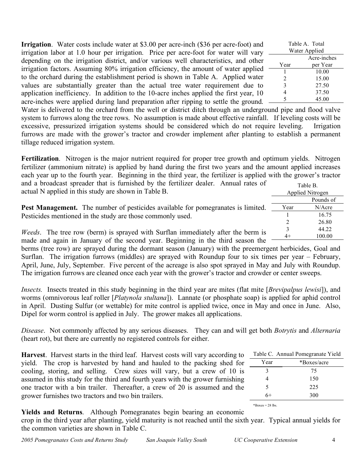**Irrigation**. Water costs include water at \$3.00 per acre-inch (\$36 per acre-foot) and irrigation labor at 1.0 hour per irrigation. Price per acre-foot for water will vary depending on the irrigation district, and/or various well characteristics, and other irrigation factors. Assuming 80% irrigation efficiency, the amount of water applied to the orchard during the establishment period is shown in Table A. Applied water values are substantially greater than the actual tree water requirement due to application inefficiency. In addition to the 10-acre inches applied the first year, 10 acre-inches were applied during land preparation after ripping to settle the ground.

Table A. Total Water Applied Acre-inches Year per Year 1 10.00 2 15.00 3 27.50 4 37.50 5 45.00

Water is delivered to the orchard from the well or district ditch through an underground pipe and flood valve system to furrows along the tree rows. No assumption is made about effective rainfall. If leveling costs will be excessive, pressurized irrigation systems should be considered which do not require leveling. Irrigation furrows are made with the grower's tractor and crowder implement after planting to establish a permanent tillage reduced irrigation system.

**Fertilization**. Nitrogen is the major nutrient required for proper tree growth and optimum yields. Nitrogen fertilizer (ammonium nitrate) is applied by hand during the first two years and the amount applied increases each year up to the fourth year. Beginning in the third year, the fertilizer is applied with the grower's tractor and a broadcast spreader that is furnished by the fertilizer dealer. Annual rates of Table B.

| actual N applied in this study are shown in Table B.                                     |      | Applied Nitrogen |
|------------------------------------------------------------------------------------------|------|------------------|
|                                                                                          |      | Pounds of        |
| <b>Pest Management.</b> The number of pesticides available for pomegranates is limited.  | Year | N/Acre           |
| Pesticides mentioned in the study are those commonly used.                               |      | 16.75            |
|                                                                                          |      | 26.80            |
| <i>Weeds</i> . The tree row (berm) is sprayed with Surflan immediately after the berm is |      | 44.22            |
|                                                                                          | $4+$ | 100.00           |
| made and again in January of the second year. Beginning in the third season the          |      |                  |

berms (tree row) are sprayed during the dormant season (January) with the preemergent herbicides, Goal and Surflan. The irrigation furrows (middles) are sprayed with Roundup four to six times per year – February, April, June, July, September. Five percent of the acreage is also spot sprayed in May and July with Roundup. The irrigation furrows are cleaned once each year with the grower's tractor and crowder or center sweeps.

*Insects.* Insects treated in this study beginning in the third year are mites (flat mite [*Brevipalpus lewisi*]), and worms (omnivorous leaf roller [*Platynola stultana*]). Lannate (or phosphate soap) is applied for aphid control in April. Dusting Sulfur (or wettable) for mite control is applied twice, once in May and once in June. Also, Dipel for worm control is applied in July. The grower makes all applications.

*Disease*. Not commonly affected by any serious diseases. They can and will get both *Botrytis* and *Alternaria* (heart rot), but there are currently no registered controls for either.

**Harvest**. Harvest starts in the third leaf. Harvest costs will vary according to yield. The crop is harvested by hand and hauled to the packing shed for cooling, storing, and selling. Crew sizes will vary, but a crew of 10 is assumed in this study for the third and fourth years with the grower furnishing one tractor with a bin trailer. Thereafter, a crew of 20 is assumed and the grower furnishes two tractors and two bin trailers.

|      | Table C. Annual Pomegranate Yield |
|------|-----------------------------------|
| Year | *Boxes/acre                       |
| 3    | 75                                |
| 4    | 150                               |
| 5    | 225                               |
| 6+   | 300                               |
|      |                                   |

 $*$ Boxes = 28 lbs.

## **Yields and Returns**. Although Pomegranates begin bearing an economic

crop in the third year after planting, yield maturity is not reached until the sixth year. Typical annual yields for the common varieties are shown in Table C.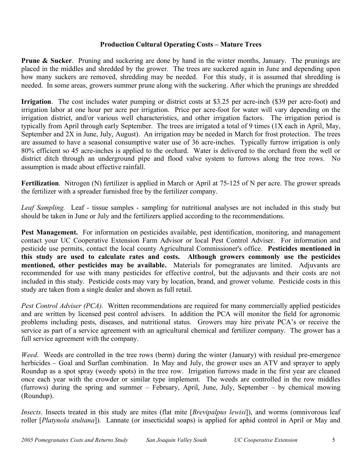## **Production Cultural Operating Costs – Mature Trees**

**Prune & Sucker**. Pruning and suckering are done by hand in the winter months, January. The prunings are placed in the middles and shredded by the grower. The trees are suckered again in June and depending upon how many suckers are removed, shredding may be needed. For this study, it is assumed that shredding is needed. In some areas, growers summer prune along with the suckering. After which the prunings are shredded

**Irrigation**. The cost includes water pumping or district costs at \$3.25 per acre-inch (\$39 per acre-foot) and irrigation labor at one hour per acre per irrigation. Price per acre-foot for water will vary depending on the irrigation district, and/or various well characteristics, and other irrigation factors. The irrigation period is typically from April through early September. The trees are irrigated a total of 9 times (1X each in April, May, September and 2X in June, July, August). An irrigation may be needed in March for frost protection. The trees are assumed to have a seasonal consumptive water use of 36 acre-inches. Typically furrow irrigation is only 80% efficient so 45 acre-inches is applied to the orchard. Water is delivered to the orchard from the well or district ditch through an underground pipe and flood valve system to furrows along the tree rows. No assumption is made about effective rainfall.

**Fertilization.** Nitrogen (N) fertilizer is applied in March or April at 75-125 of N per acre. The grower spreads the fertilizer with a spreader furnished free by the fertilizer company.

*Leaf Sampling.* Leaf - tissue samples - sampling for nutritional analyses are not included in this study but should be taken in June or July and the fertilizers applied according to the recommendations.

**Pest Management.** For information on pesticides available, pest identification, monitoring, and management contact your UC Cooperative Extension Farm Advisor or local Pest Control Adviser. For information and pesticide use permits, contact the local county Agricultural Commissioner's office. **Pesticides mentioned in this study are used to calculate rates and costs. Although growers commonly use the pesticides mentioned, other pesticides may be available.** Materials for pomegranates are limited. Adjuvants are recommended for use with many pesticides for effective control, but the adjuvants and their costs are not included in this study. Pesticide costs may vary by location, brand, and grower volume. Pesticide costs in this study are taken from a single dealer and shown as full retail.

*Pest Control Adviser (PCA).* Written recommendations are required for many commercially applied pesticides and are written by licensed pest control advisers. In addition the PCA will monitor the field for agronomic problems including pests, diseases, and nutritional status. Growers may hire private PCA's or receive the service as part of a service agreement with an agricultural chemical and fertilizer company. The grower has a full service agreement with the company.

*Weed*. Weeds are controlled in the tree rows (berm) during the winter (January) with residual pre-emergence herbicides – Goal and Surflan combination. In May and July, the grower uses an ATV and sprayer to apply Roundup as a spot spray (weedy spots) in the tree row. Irrigation furrows made in the first year are cleaned once each year with the crowder or similar type implement. The weeds are controlled in the row middles (furrows) during the spring and summer – February, April, June, July, September – by chemical mowing (Roundup).

*Insects*. Insects treated in this study are mites (flat mite [*Brevipalpus lewisi*]), and worms (omnivorous leaf roller [*Platynola stultana*]). Lannate (or insecticidal soaps) is applied for aphid control in April or May and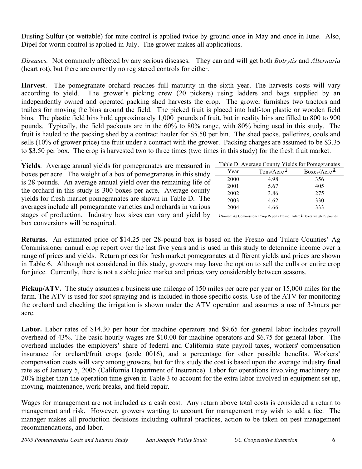Dusting Sulfur (or wettable) for mite control is applied twice by ground once in May and once in June. Also, Dipel for worm control is applied in July. The grower makes all applications.

*Diseases.* Not commonly affected by any serious diseases. They can and will get both *Botrytis* and *Alternaria* (heart rot), but there are currently no registered controls for either.

**Harvest**. The pomegranate orchard reaches full maturity in the sixth year. The harvests costs will vary according to yield. The grower's picking crew (20 pickers) using ladders and bags supplied by an independently owned and operated packing shed harvests the crop. The grower furnishes two tractors and trailers for moving the bins around the field. The picked fruit is placed into half-ton plastic or wooden field bins. The plastic field bins hold approximately 1,000 pounds of fruit, but in reality bins are filled to 800 to 900 pounds. Typically, the field packouts are in the 60% to 80% range, with 80% being used in this study. The fruit is hauled to the packing shed by a contract hauler for \$5.50 per bin. The shed packs, palletizes, cools and sells (10% of grower price) the fruit under a contract with the grower. Packing charges are assumed to be \$3.35 to \$3.50 per box. The crop is harvested two to three times (two times in this study) for the fresh fruit market.

**Yields**. Average annual yields for pomegranates are measured in boxes per acre. The weight of a box of pomegranates in this study is 28 pounds. An average annual yield over the remaining life of the orchard in this study is 300 boxes per acre. Average county yields for fresh market pomegranates are shown in Table D. The averages include all pomegranate varieties and orchards in various stages of production. Industry box sizes can vary and yield by box conversions will be required.

.

| Table D. Average County Yields for Pomegranates |                         |                |  |  |  |  |  |  |  |
|-------------------------------------------------|-------------------------|----------------|--|--|--|--|--|--|--|
| Year                                            | Tons/Acre $\frac{1}{2}$ | Boxes/Acre $2$ |  |  |  |  |  |  |  |
| 2000                                            | 498                     | 356            |  |  |  |  |  |  |  |
| 2001                                            | 5.67                    | 405            |  |  |  |  |  |  |  |
| 2002                                            | 3.86                    | 275            |  |  |  |  |  |  |  |
| 2003                                            | 4.62                    | 330            |  |  |  |  |  |  |  |
| 2004                                            | 4.66                    | 333            |  |  |  |  |  |  |  |

 $^{\underline{1}}$  Source: Ag Commissioner Crop Reports Fresno, Tulare  $^{\underline{2}}$  Boxes weigh 28 pounds

**Returns**. An estimated price of \$14.25 per 28-pound box is based on the Fresno and Tulare Counties' Ag Commissioner annual crop report over the last five years and is used in this study to determine income over a range of prices and yields. Return prices for fresh market pomegranates at different yields and prices are shown in Table 6. Although not considered in this study, growers may have the option to sell the culls or entire crop for juice. Currently, there is not a stable juice market and prices vary considerably between seasons.

**Pickup/ATV.** The study assumes a business use mileage of 150 miles per acre per year or 15,000 miles for the farm. The ATV is used for spot spraying and is included in those specific costs. Use of the ATV for monitoring the orchard and checking the irrigation is shown under the ATV operation and assumes a use of 3-hours per acre.

Labor. Labor rates of \$14.30 per hour for machine operators and \$9.65 for general labor includes payroll overhead of 43%. The basic hourly wages are \$10.00 for machine operators and \$6.75 for general labor. The overhead includes the employers' share of federal and California state payroll taxes, workers' compensation insurance for orchard/fruit crops (code 0016), and a percentage for other possible benefits. Workers' compensation costs will vary among growers, but for this study the cost is based upon the average industry final rate as of January 5, 2005 (California Department of Insurance). Labor for operations involving machinery are 20% higher than the operation time given in Table 3 to account for the extra labor involved in equipment set up, moving, maintenance, work breaks, and field repair.

Wages for management are not included as a cash cost. Any return above total costs is considered a return to management and risk. However, growers wanting to account for management may wish to add a fee. The manager makes all production decisions including cultural practices, action to be taken on pest management recommendations, and labor.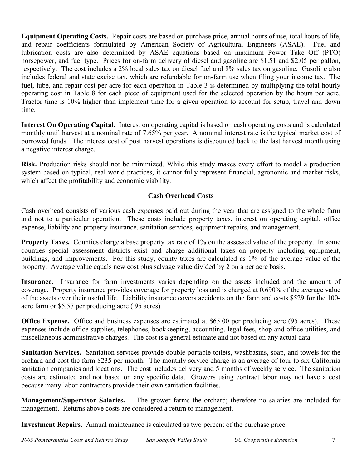**Equipment Operating Costs.** Repair costs are based on purchase price, annual hours of use, total hours of life, and repair coefficients formulated by American Society of Agricultural Engineers (ASAE). Fuel and lubrication costs are also determined by ASAE equations based on maximum Power Take Off (PTO) horsepower, and fuel type. Prices for on-farm delivery of diesel and gasoline are \$1.51 and \$2.05 per gallon, respectively. The cost includes a 2% local sales tax on diesel fuel and 8% sales tax on gasoline. Gasoline also includes federal and state excise tax, which are refundable for on-farm use when filing your income tax. The fuel, lube, and repair cost per acre for each operation in Table 3 is determined by multiplying the total hourly operating cost in Table 8 for each piece of equipment used for the selected operation by the hours per acre. Tractor time is 10% higher than implement time for a given operation to account for setup, travel and down time.

**Interest On Operating Capital.** Interest on operating capital is based on cash operating costs and is calculated monthly until harvest at a nominal rate of 7.65% per year. A nominal interest rate is the typical market cost of borrowed funds. The interest cost of post harvest operations is discounted back to the last harvest month using a negative interest charge.

**Risk.** Production risks should not be minimized. While this study makes every effort to model a production system based on typical, real world practices, it cannot fully represent financial, agronomic and market risks, which affect the profitability and economic viability.

## **Cash Overhead Costs**

Cash overhead consists of various cash expenses paid out during the year that are assigned to the whole farm and not to a particular operation. These costs include property taxes, interest on operating capital, office expense, liability and property insurance, sanitation services, equipment repairs, and management.

**Property Taxes.** Counties charge a base property tax rate of 1% on the assessed value of the property. In some counties special assessment districts exist and charge additional taxes on property including equipment, buildings, and improvements. For this study, county taxes are calculated as 1% of the average value of the property. Average value equals new cost plus salvage value divided by 2 on a per acre basis.

**Insurance.** Insurance for farm investments varies depending on the assets included and the amount of coverage. Property insurance provides coverage for property loss and is charged at 0.690% of the average value of the assets over their useful life. Liability insurance covers accidents on the farm and costs \$529 for the 100 acre farm or \$5.57 per producing acre ( 95 acres).

**Office Expense.** Office and business expenses are estimated at \$65.00 per producing acre (95 acres). These expenses include office supplies, telephones, bookkeeping, accounting, legal fees, shop and office utilities, and miscellaneous administrative charges. The cost is a general estimate and not based on any actual data.

**Sanitation Services.** Sanitation services provide double portable toilets, washbasins, soap, and towels for the orchard and cost the farm \$235 per month. The monthly service charge is an average of four to six California sanitation companies and locations. The cost includes delivery and 5 months of weekly service. The sanitation costs are estimated and not based on any specific data. Growers using contract labor may not have a cost because many labor contractors provide their own sanitation facilities.

**Management/Supervisor Salaries.** The grower farms the orchard; therefore no salaries are included for management. Returns above costs are considered a return to management.

**Investment Repairs.** Annual maintenance is calculated as two percent of the purchase price.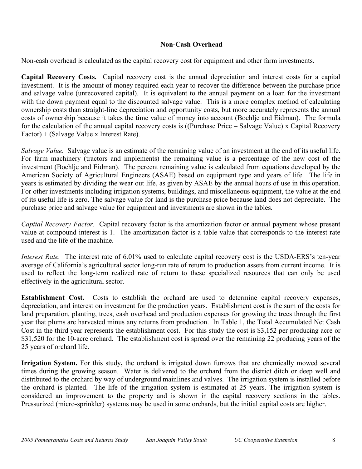## **Non-Cash Overhead**

Non-cash overhead is calculated as the capital recovery cost for equipment and other farm investments.

**Capital Recovery Costs.** Capital recovery cost is the annual depreciation and interest costs for a capital investment. It is the amount of money required each year to recover the difference between the purchase price and salvage value (unrecovered capital). It is equivalent to the annual payment on a loan for the investment with the down payment equal to the discounted salvage value. This is a more complex method of calculating ownership costs than straight-line depreciation and opportunity costs, but more accurately represents the annual costs of ownership because it takes the time value of money into account (Boehlje and Eidman). The formula for the calculation of the annual capital recovery costs is ((Purchase Price – Salvage Value) x Capital Recovery Factor) + (Salvage Value x Interest Rate).

*Salvage Value.* Salvage value is an estimate of the remaining value of an investment at the end of its useful life. For farm machinery (tractors and implements) the remaining value is a percentage of the new cost of the investment (Boehlje and Eidman). The percent remaining value is calculated from equations developed by the American Society of Agricultural Engineers (ASAE) based on equipment type and years of life. The life in years is estimated by dividing the wear out life, as given by ASAE by the annual hours of use in this operation. For other investments including irrigation systems, buildings, and miscellaneous equipment, the value at the end of its useful life is zero. The salvage value for land is the purchase price because land does not depreciate. The purchase price and salvage value for equipment and investments are shown in the tables.

*Capital Recovery Factor.* Capital recovery factor is the amortization factor or annual payment whose present value at compound interest is 1. The amortization factor is a table value that corresponds to the interest rate used and the life of the machine.

*Interest Rate.* The interest rate of 6.01% used to calculate capital recovery cost is the USDA-ERS's ten-year average of California's agricultural sector long-run rate of return to production assets from current income. It is used to reflect the long-term realized rate of return to these specialized resources that can only be used effectively in the agricultural sector.

**Establishment Cost.** Costs to establish the orchard are used to determine capital recovery expenses, depreciation, and interest on investment for the production years. Establishment cost is the sum of the costs for land preparation, planting, trees, cash overhead and production expenses for growing the trees through the first year that plums are harvested minus any returns from production. In Table 1, the Total Accumulated Net Cash Cost in the third year represents the establishment cost. For this study the cost is \$3,152 per producing acre or \$31,520 for the 10-acre orchard. The establishment cost is spread over the remaining 22 producing years of the 25 years of orchard life.

**Irrigation System.** For this study**,** the orchard is irrigated down furrows that are chemically mowed several times during the growing season. Water is delivered to the orchard from the district ditch or deep well and distributed to the orchard by way of underground mainlines and valves. The irrigation system is installed before the orchard is planted. The life of the irrigation system is estimated at 25 years. The irrigation system is considered an improvement to the property and is shown in the capital recovery sections in the tables. Pressurized (micro-sprinkler) systems may be used in some orchards, but the initial capital costs are higher.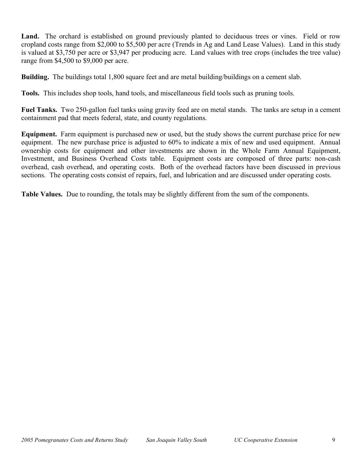Land. The orchard is established on ground previously planted to deciduous trees or vines. Field or row cropland costs range from \$2,000 to \$5,500 per acre (Trends in Ag and Land Lease Values). Land in this study is valued at \$3,750 per acre or \$3,947 per producing acre. Land values with tree crops (includes the tree value) range from \$4,500 to \$9,000 per acre.

**Building.** The buildings total 1,800 square feet and are metal building/buildings on a cement slab.

**Tools.** This includes shop tools, hand tools, and miscellaneous field tools such as pruning tools.

**Fuel Tanks.** Two 250-gallon fuel tanks using gravity feed are on metal stands. The tanks are setup in a cement containment pad that meets federal, state, and county regulations.

**Equipment.** Farm equipment is purchased new or used, but the study shows the current purchase price for new equipment. The new purchase price is adjusted to 60% to indicate a mix of new and used equipment. Annual ownership costs for equipment and other investments are shown in the Whole Farm Annual Equipment, Investment, and Business Overhead Costs table. Equipment costs are composed of three parts: non-cash overhead, cash overhead, and operating costs. Both of the overhead factors have been discussed in previous sections. The operating costs consist of repairs, fuel, and lubrication and are discussed under operating costs.

**Table Values.** Due to rounding, the totals may be slightly different from the sum of the components.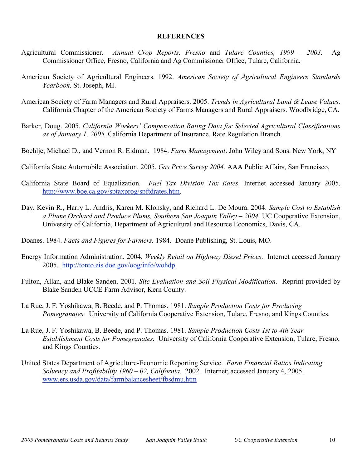#### **REFERENCES**

- Agricultural Commissioner. *Annual Crop Reports, Fresno* and *Tulare Counties, 1999 – 2003.* Ag Commissioner Office, Fresno, California and Ag Commissioner Office, Tulare, California.
- American Society of Agricultural Engineers. 1992. *American Society of Agricultural Engineers Standards Yearbook*. St. Joseph, MI.
- American Society of Farm Managers and Rural Appraisers. 2005. *Trends in Agricultural Land & Lease Values*. California Chapter of the American Society of Farms Managers and Rural Appraisers. Woodbridge, CA.
- Barker, Doug. 2005. *California Workers' Compensation Rating Data for Selected Agricultural Classifications as of January 1, 2005.* California Department of Insurance, Rate Regulation Branch.
- Boehlje, Michael D., and Vernon R. Eidman. 1984. *Farm Management*. John Wiley and Sons. New York, NY
- California State Automobile Association. 2005. *Gas Price Survey 2004.* AAA Public Affairs, San Francisco,
- California State Board of Equalization. *Fuel Tax Division Tax Rates*. Internet accessed January 2005. http://www.boe.ca.gov/sptaxprog/spftdrates.htm.
- Day, Kevin R., Harry L. Andris, Karen M. Klonsky, and Richard L. De Moura. 2004. *Sample Cost to Establish a Plume Orchard and Produce Plums, Southern San Joaquin Valley – 2004*. UC Cooperative Extension, University of California, Department of Agricultural and Resource Economics, Davis, CA.
- Doanes. 1984. *Facts and Figures for Farmers.* 1984. Doane Publishing, St. Louis, MO.
- Energy Information Administration. 2004. *Weekly Retail on Highway Diesel Prices*. Internet accessed January 2005. http://tonto.eis.doe.gov/oog/info/wohdp.
- Fulton, Allan, and Blake Sanden. 2001. *Site Evaluation and Soil Physical Modification*. Reprint provided by Blake Sanden UCCE Farm Advisor, Kern County.
- La Rue, J. F. Yoshikawa, B. Beede, and P. Thomas. 1981. *Sample Production Costs for Producing Pomegranates.* University of California Cooperative Extension, Tulare, Fresno, and Kings Counties.
- La Rue, J. F. Yoshikawa, B. Beede, and P. Thomas. 1981. *Sample Production Costs 1st to 4th Year Establishment Costs for Pomegranates.* University of California Cooperative Extension, Tulare, Fresno, and Kings Counties.
- United States Department of Agriculture-Economic Reporting Service. *Farm Financial Ratios Indicating Solvency and Profitability 1960 – 02, California*. 2002. Internet; accessed January 4, 2005. www.ers.usda.gov/data/farmbalancesheet/fbsdmu.htm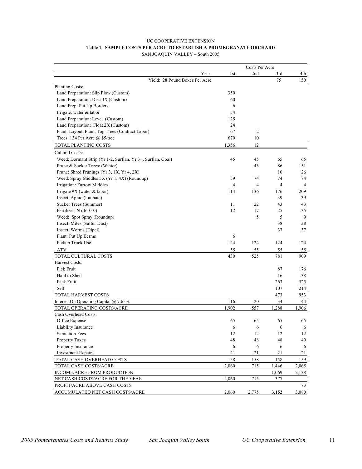#### UC COOPERATIVE EXTENSION **Table 1. SAMPLE COSTS PER ACRE TO ESTABLISH A PROMEGRANATE ORCHARD** SAN JOAQUIN VALLEY – South 2005

| Costs Per Acre                                              |       |       |                |                |                |
|-------------------------------------------------------------|-------|-------|----------------|----------------|----------------|
|                                                             | Year: | 1st   | 2nd            | 3rd            | 4th            |
| Yield: 28 Pound Boxes Per Acre                              |       |       |                | 75             | 150            |
| Planting Costs:                                             |       |       |                |                |                |
| Land Preparation: Slip Plow (Custom)                        |       | 350   |                |                |                |
| Land Preparation: Disc 3X (Custom)                          |       | 60    |                |                |                |
| Land Prep: Put Up Borders                                   |       | 6     |                |                |                |
| Irrigate: water & labor                                     |       | 54    |                |                |                |
| Land Preparation: Level (Custom)                            |       | 125   |                |                |                |
| Land Preparation: Float 2X (Custom)                         |       | 24    |                |                |                |
| Plant: Layout, Plant, Top Trees (Contract Labor)            |       | 67    | $\overline{c}$ |                |                |
| Trees: 134 Per Acre @ \$5/tree                              |       | 670   | 10             |                |                |
| TOTAL PLANTING COSTS                                        |       | 1,356 | 12             |                |                |
| Cultural Costs:                                             |       |       |                |                |                |
| Weed: Dormant Strip (Yr 1-2, Surflan. Yr 3+, Surflan, Goal) |       | 45    | 45             | 65             | 65             |
| Prune & Sucker Trees: (Winter)                              |       |       | 43             | 86             | 151            |
| Prune: Shred Prunings (Yr 3, 1X. Yr 4, 2X)                  |       |       |                | 10             | 26             |
| Weed: Spray Middles 5X (Yr 1, 4X) (Roundup)                 |       | 59    | 74             | 74             | 74             |
| Irrigation: Furrow Middles                                  |       | 4     | $\overline{4}$ | $\overline{4}$ | $\overline{4}$ |
| Irrigate 9X (water & labor)                                 |       | 114   | 136            | 176            | 209            |
| Insect: Aphid (Lannate)                                     |       |       |                | 39             | 39             |
| Sucker Trees (Summer)                                       |       | 11    | 22             | 43             | 43             |
| Fertilizer: N (46-0-0)                                      |       | 12    | 17             | 25             | 35             |
| Weed: Spot Spray (Roundup)                                  |       |       | 5              | 5              | 9              |
| Insect: Mites (Sulfur Dust)                                 |       |       |                | 38             | 38             |
| Insect: Worms (Dipel)                                       |       |       |                | 37             | 37             |
| Plant: Put Up Berms                                         |       | 6     |                |                |                |
| Pickup Truck Use                                            |       | 124   | 124            | 124            | 124            |
| <b>ATV</b>                                                  |       | 55    | 55             | 55             | 55             |
| TOTAL CULTURAL COSTS                                        |       | 430   | 525            | 781            | 909            |
| Harvest Costs:                                              |       |       |                |                |                |
| Pick Fruit                                                  |       |       |                | 87             | 176            |
| Haul to Shed                                                |       |       |                | 16             | 38             |
| Pack Fruit                                                  |       |       |                | 263            | 525            |
| Sell                                                        |       |       |                | 107            | 214            |
| TOTAL HARVEST COSTS                                         |       |       |                | 473            | 953            |
| Interest On Operating Capital @ 7.65%                       |       | 116   | 20             | 34             | 44             |
| TOTAL OPERATING COSTS/ACRE                                  |       | 1,902 | 557            | 1,288          | 1,906          |
| Cash Overhead Costs:                                        |       |       |                |                |                |
| Office Expense                                              |       | 65    | 65             | 65             | 65             |
| Liability Insurance                                         |       | 6     | 6              | 6              | 6              |
| <b>Sanitation Fees</b>                                      |       | 12    | 12             | 12             | 12             |
| <b>Property Taxes</b>                                       |       | 48    | 48             | 48             | 49             |
| Property Insurance                                          |       | 6     | 6              | 6              | 6              |
| <b>Investment Repairs</b>                                   |       | 21    | 21             | 21             | 21             |
| TOTAL CASH OVERHEAD COSTS                                   |       | 158   | 158            | 158            | 159            |
|                                                             |       |       |                |                |                |
| TOTAL CASH COSTS/ACRE<br>INCOME/ACRE FROM PRODUCTION        |       | 2,060 | 715            | 1,446<br>1,069 | 2,065<br>2,138 |
| NET CASH COSTS/ACRE FOR THE YEAR                            |       | 2,060 | 715            | 377            |                |
| PROFIT/ACRE ABOVE CASH COSTS                                |       |       |                |                | 73             |
|                                                             |       |       |                |                |                |
| ACCUMULATED NET CASH COSTS/ACRE                             |       | 2,060 | 2,775          | 3,152          | 3,080          |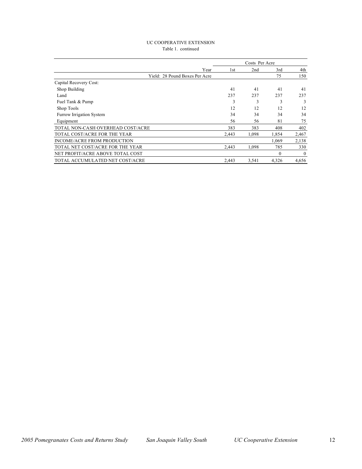#### UC COOPERATIVE EXTENSION Table 1. continued

|                                   |      |       | Costs Per Acre |          |          |
|-----------------------------------|------|-------|----------------|----------|----------|
|                                   | Year | 1st   | 2nd            | 3rd      | 4th      |
| Yield: 28 Pound Boxes Per Acre    |      |       |                | 75       | 150      |
| Capital Recovery Cost:            |      |       |                |          |          |
| Shop Building                     |      | 41    | 41             | 41       | 41       |
| Land                              |      | 237   | 237            | 237      | 237      |
| Fuel Tank & Pump                  |      | 3     | 3              | 3        | 3        |
| Shop Tools                        |      | 12    | 12             | 12       | 12       |
| Furrow Irrigation System          |      | 34    | 34             | 34       | 34       |
| Equipment                         |      | 56    | 56             | 81       | 75       |
| TOTAL NON-CASH OVERHEAD COST/ACRE |      | 383   | 383            | 408      | 402      |
| TOTAL COST/ACRE FOR THE YEAR      |      | 2.443 | 1.098          | 1.854    | 2,467    |
| INCOME/ACRE FROM PRODUCTION       |      |       |                | 1.069    | 2,138    |
| TOTAL NET COST/ACRE FOR THE YEAR  |      | 2.443 | 1,098          | 785      | 330      |
| NET PROFIT/ACRE ABOVE TOTAL COST  |      |       |                | $\theta$ | $\theta$ |
| TOTAL ACCUMULATED NET COST/ACRE   |      | 2.443 | 3,541          | 4,326    | 4,656    |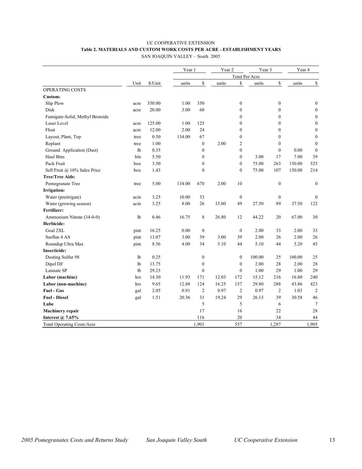## UC COOPERATIVE EXTENSION **Table 2. MATERIALS AND CUSTOM WORK COSTS PER ACRE - ESTABLISHMENT YEARS**

SAN JOAQUIN VALLEY – South 2005

|                                   |                |         | Year 1 |                  | Year 2 |                  | Year 3                |                  | Year 4 |                  |
|-----------------------------------|----------------|---------|--------|------------------|--------|------------------|-----------------------|------------------|--------|------------------|
|                                   |                |         |        |                  |        |                  | <b>Total Per Acre</b> |                  |        |                  |
|                                   | Unit           | \$/Unit | units  | \$               | units  | \$               | units                 | \$               | units  | $\mathbb{S}$     |
| OPERATING COSTS                   |                |         |        |                  |        |                  |                       |                  |        |                  |
| Custom:                           |                |         |        |                  |        |                  |                       |                  |        |                  |
| Slip Plow                         | acre           | 350.00  | 1.00   | 350              |        | $\boldsymbol{0}$ |                       | $\boldsymbol{0}$ |        | $\boldsymbol{0}$ |
| Disk                              | acre           | 20.00   | 3.00   | 60               |        | $\mathbf{0}$     |                       | $\mathbf{0}$     |        | $\bf{0}$         |
| Fumigate-Solid, Methyl Bromide    |                |         |        |                  |        | $\mathbf{0}$     |                       | $\boldsymbol{0}$ |        | $\boldsymbol{0}$ |
| Laser Level                       | acre           | 125.00  | 1.00   | 125              |        | $\boldsymbol{0}$ |                       | $\boldsymbol{0}$ |        | $\boldsymbol{0}$ |
| Float                             | acre           | 12.00   | 2.00   | 24               |        | $\mathbf{0}$     |                       | $\mathbf{0}$     |        | $\boldsymbol{0}$ |
| Layout, Plant, Top                | tree           | 0.50    | 134.00 | 67               |        | $\boldsymbol{0}$ |                       | $\mathbf{0}$     |        | $\boldsymbol{0}$ |
| Replant                           | tree           | 1.00    |        | $\mathbf{0}$     | 2.00   | $\overline{2}$   |                       | $\mathbf{0}$     |        | $\mathbf{0}$     |
| Ground Application (Dust)         | 1 <sub>b</sub> | 0.35    |        | $\boldsymbol{0}$ |        | $\boldsymbol{0}$ |                       | $\mathbf{0}$     | 0.00   | $\boldsymbol{0}$ |
| Haul Bins                         | bin            | 5.50    |        | $\mathbf{0}$     |        | $\mathbf{0}$     | 3.00                  | 17               | 7.00   | 39               |
| Pack Fruit                        | box            | 3.50    |        | $\boldsymbol{0}$ |        | $\boldsymbol{0}$ | 75.00                 | 263              | 150.00 | 525              |
| Sell Fruit @ 10% Sales Price      | box            | 1.43    |        | $\mathbf{0}$     |        | $\boldsymbol{0}$ | 75.00                 | 107              | 150.00 | 214              |
| <b>Tree/Tree Aids:</b>            |                |         |        |                  |        |                  |                       |                  |        |                  |
| Pomegranate Tree                  | tree           | 5.00    | 134.00 | 670              | 2.00   | 10               |                       | $\boldsymbol{0}$ |        | $\boldsymbol{0}$ |
| <b>Irrigation:</b>                |                |         |        |                  |        |                  |                       |                  |        |                  |
| Water (preirrigate)               | acin           | 3.25    | 10.00  | 33               |        | $\boldsymbol{0}$ |                       | $\mathbf{0}$     |        | $\mathbf{0}$     |
| Water (growing season)            | acin           | 3.25    | 8.00   | 26               | 15.00  | 49               | 27.50                 | 89               | 37.50  | 122              |
| Fertilizer:                       |                |         |        |                  |        |                  |                       |                  |        |                  |
| Ammonium Nitrate (34-0-0)         | 1b             | 0.46    | 16.75  | 8                | 26.80  | 12               | 44.22                 | 20               | 67.00  | 30               |
| Herbicide:                        |                |         |        |                  |        |                  |                       |                  |        |                  |
| Goal 2XL                          | pint           | 16.25   | 0.00   | $\boldsymbol{0}$ |        | $\boldsymbol{0}$ | 2.00                  | 33               | 2.00   | 33               |
| Surflan 4 AS                      | pint           | 13.07   | 3.00   | 39               | 3.00   | 39               | 2.00                  | 26               | 2.00   | 26               |
| Roundup Ultra Max                 | pint           | 8.56    | 4.00   | 34               | 5.10   | 44               | 5.10                  | 44               | 5.20   | 45               |
| <b>Insecticide:</b>               |                |         |        |                  |        |                  |                       |                  |        |                  |
| Dusting Sulfur 98                 | 1 <sub>b</sub> | 0.25    |        | $\boldsymbol{0}$ |        | $\mathbf{0}$     | 100.00                | 25               | 100.00 | 25               |
| Dipel DF                          | 1 <sub>b</sub> | 13.75   |        | $\boldsymbol{0}$ |        | $\mathbf{0}$     | 2.00                  | 28               | 2.00   | 28               |
| Lannate SP                        | 1 <sub>b</sub> | 29.23   |        | $\overline{0}$   |        | $\mathbf{0}$     | 1.00                  | 29               | 1.00   | 29               |
| Labor (machine)                   | hrs            | 14.30   | 11.93  | 171              | 12.03  | 172              | 15.12                 | 216              | 16.80  | 240              |
| Labor (non-machine)               | hrs            | 9.65    | 12.88  | 124              | 16.25  | 157              | 29.80                 | 288              | 43.86  | 423              |
| Fuel - Gas                        | gal            | 2.05    | 0.91   | $\overline{c}$   | 0.97   | $\overline{c}$   | 0.97                  | $\mathfrak{2}$   | 1.03   | 2                |
| <b>Fuel - Diesel</b>              | gal            | 1.51    | 20.36  | 31               | 19.24  | 29               | 26.13                 | 39               | 30.58  | 46               |
| Lube                              |                |         |        | 5                |        | 5                |                       | 6                |        | $\overline{7}$   |
| <b>Machinery repair</b>           |                |         |        | 17               |        | 16               |                       | 22               |        | 28               |
| Interest @ 7.65%                  |                |         |        | 116              |        | 20               |                       | 34               |        | 44               |
| <b>Total Operating Costs/Acre</b> |                |         |        | 1,901            |        | 557              |                       | 1,287            |        | 1,905            |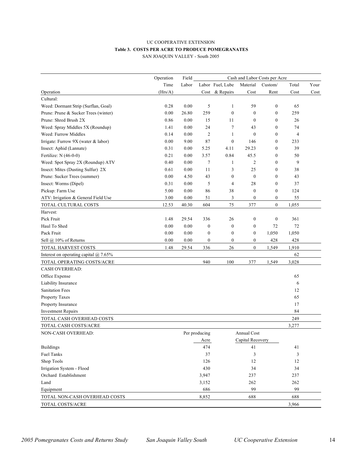## UC COOPERATIVE EXTENSION **Table 3. COSTS PER ACRE TO PRODUCE POMEGRANATES**

| SAN JOAQUIN VALLEY - South 2005 |  |  |
|---------------------------------|--|--|
|---------------------------------|--|--|

|                                              | Operation<br>Field<br>Cash and Labor Costs per Acre |       |                  |                  |                    |                  |                |      |
|----------------------------------------------|-----------------------------------------------------|-------|------------------|------------------|--------------------|------------------|----------------|------|
|                                              | Time                                                | Labor |                  | Labor Fuel, Lube | Material           | Custom/          | Total          | Your |
| Operation                                    | (Hrs/A)                                             |       |                  | Cost & Repairs   | Cost               | Rent             | Cost           | Cost |
| Cultural:                                    |                                                     |       |                  |                  |                    |                  |                |      |
| Weed: Dormant Strip (Surflan, Goal)          | 0.28                                                | 0.00  | 5                | 1                | 59                 | $\boldsymbol{0}$ | 65             |      |
| Prune: Prune & Sucker Trees (winter)         | 0.00                                                | 26.80 | 259              | $\mathbf{0}$     | $\mathbf{0}$       | $\boldsymbol{0}$ | 259            |      |
| Prune: Shred Brush 2X                        | 0.86                                                | 0.00  | 15               | 11               | $\mathbf{0}$       | $\theta$         | 26             |      |
| Weed: Spray Middles 5X (Roundup)             | 1.41                                                | 0.00  | 24               | 7                | 43                 | $\theta$         | 74             |      |
| Weed: Furrow Middles                         | 0.14                                                | 0.00  | 2                | 1                | $\mathbf{0}$       | $\theta$         | $\overline{4}$ |      |
| Irrigate: Furrow $9X$ (water $\&$ labor)     | 0.00                                                | 9.00  | 87               | $\mathbf{0}$     | 146                | $\theta$         | 233            |      |
| Insect: Aphid (Lannate)                      | 0.31                                                | 0.00  | 5.25             | 4.11             | 29.23              | $\theta$         | 39             |      |
| Fertilize: N (46-0-0)                        | 0.21                                                | 0.00  | 3.57             | 0.84             | 45.5               | $\mathbf{0}$     | 50             |      |
| Weed: Spot Spray 2X (Roundup) ATV            | 0.40                                                | 0.00  | 7                | 1                | $\overline{2}$     | $\mathbf{0}$     | 9              |      |
| Insect: Mites (Dusting Sulfur) 2X            | 0.61                                                | 0.00  | 11               | 3                | 25                 | $\mathbf{0}$     | 38             |      |
| Prune: Sucker Trees (summer)                 | 0.00                                                | 4.50  | 43               | $\boldsymbol{0}$ | $\mathbf{0}$       | $\mathbf{0}$     | 43             |      |
| Insect: Worms (Dipel)                        | 0.31                                                | 0.00  | 5                | $\overline{4}$   | 28                 | $\boldsymbol{0}$ | 37             |      |
| Pickup: Farm Use                             | 5.00                                                | 0.00  | 86               | 38               | $\boldsymbol{0}$   | $\boldsymbol{0}$ | 124            |      |
| ATV: Irrigation & General Field Use          | 3.00                                                | 0.00  | 51               | 3                | $\boldsymbol{0}$   | $\boldsymbol{0}$ | 55             |      |
| TOTAL CULTURAL COSTS                         | 12.53                                               | 40.30 | 604              | 75               | 377                | $\mathbf{0}$     | 1,055          |      |
| Harvest:                                     |                                                     |       |                  |                  |                    |                  |                |      |
| Pick Fruit                                   | 1.48                                                | 29.54 | 336              | 26               | $\boldsymbol{0}$   | $\boldsymbol{0}$ | 361            |      |
| Haul To Shed                                 | $0.00\,$                                            | 0.00  | $\boldsymbol{0}$ | $\boldsymbol{0}$ | $\boldsymbol{0}$   | 72               | 72             |      |
| Pack Fruit                                   | 0.00                                                | 0.00  | $\boldsymbol{0}$ | $\boldsymbol{0}$ | $\boldsymbol{0}$   | 1,050            | 1,050          |      |
| Sell @ 10% of Returns                        | 0.00                                                | 0.00  | $\boldsymbol{0}$ | $\boldsymbol{0}$ | $\boldsymbol{0}$   | 428              | 428            |      |
| TOTAL HARVEST COSTS                          | 1.48                                                | 29.54 | 336              | 26               | $\mathbf{0}$       | 1,549            | 1,910          |      |
| Interest on operating capital $\omega$ 7.65% |                                                     |       |                  |                  |                    |                  | 62             |      |
| TOTAL OPERATING COSTS/ACRE                   |                                                     |       | 940              | 100              | 377                | 1,549            | 3,028          |      |
| <b>CASH OVERHEAD:</b>                        |                                                     |       |                  |                  |                    |                  |                |      |
| Office Expense                               |                                                     |       |                  |                  |                    |                  | 65             |      |
| Liability Insurance                          |                                                     |       |                  |                  |                    |                  | 6              |      |
| <b>Sanitation Fees</b>                       |                                                     |       |                  |                  |                    |                  | 12             |      |
| Property Taxes                               |                                                     |       |                  |                  |                    |                  | 65             |      |
| Property Insurance                           |                                                     |       |                  |                  |                    |                  | 17             |      |
| <b>Investment Repairs</b>                    |                                                     |       |                  |                  |                    |                  | 84             |      |
| TOTAL CASH OVERHEAD COSTS                    |                                                     |       |                  |                  |                    |                  | 249            |      |
| TOTAL CASH COSTS/ACRE                        |                                                     |       |                  |                  |                    |                  | 3,277          |      |
| <b>NON-CASH OVERHEAD:</b>                    |                                                     |       | Per producing    |                  | <b>Annual Cost</b> |                  |                |      |
|                                              |                                                     |       | Acre             |                  | Capital Recovery   |                  |                |      |
| <b>Buildings</b>                             |                                                     |       | 474              |                  | 41                 |                  | 41             |      |
| <b>Fuel Tanks</b>                            |                                                     |       | 37               |                  | 3                  |                  | 3              |      |
| Shop Tools                                   |                                                     |       | 126              |                  | 12                 |                  | 12             |      |
| Irrigation System - Flood                    |                                                     |       | 430              |                  | 34                 |                  | 34             |      |
| Orchard Establishment                        |                                                     |       | 3,947            |                  | 237                |                  | 237            |      |
| Land                                         |                                                     |       | 3,152            |                  | 262                |                  | 262            |      |
| Equipment                                    |                                                     |       | 686              |                  | 99                 |                  | 99             |      |
| TOTAL NON-CASH OVERHEAD COSTS                |                                                     |       | 8,852            |                  | 688                |                  | 688            |      |
| TOTAL COSTS/ACRE                             |                                                     |       |                  |                  |                    |                  | 3,966          |      |
|                                              |                                                     |       |                  |                  |                    |                  |                |      |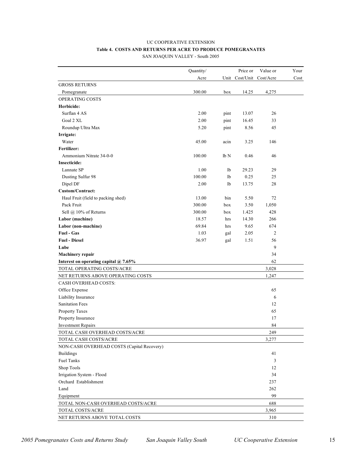## UC COOPERATIVE EXTENSION **Table 4. COSTS AND RETURNS PER ACRE TO PRODUCE POMEGRANATES**

SAN JOAQUIN VALLEY - South 2005

|                                            | Quantity/ |      | Price or | Value or                 | Your |
|--------------------------------------------|-----------|------|----------|--------------------------|------|
|                                            | Acre      |      |          | Unit Cost/Unit Cost/Acre | Cost |
| <b>GROSS RETURNS</b>                       |           |      |          |                          |      |
| Pomegranate                                | 300.00    | box  | 14.25    | 4,275                    |      |
| OPERATING COSTS                            |           |      |          |                          |      |
| Herbicide:                                 |           |      |          |                          |      |
| Surflan 4 AS                               | 2.00      | pint | 13.07    | 26                       |      |
| Goal 2 XL                                  | 2.00      | pint | 16.45    | 33                       |      |
| Roundup Ultra Max                          | 5.20      | pint | 8.56     | 45                       |      |
| Irrigate:                                  |           |      |          |                          |      |
| Water                                      | 45.00     | acin | 3.25     | 146                      |      |
| <b>Fertilizer:</b>                         |           |      |          |                          |      |
| Ammonium Nitrate 34-0-0                    | 100.00    | lb N | 0.46     | 46                       |      |
| <b>Insecticide:</b>                        |           |      |          |                          |      |
| Lannate SP                                 | 1.00      | 1b   | 29.23    | 29                       |      |
| Dusting Sulfur 98                          | 100.00    | 1b   | 0.25     | 25                       |      |
| Dipel DF                                   | 2.00      | 1b   | 13.75    | 28                       |      |
| Custom/Contract:                           |           |      |          |                          |      |
| Haul Fruit (field to packing shed)         | 13.00     | bin  | 5.50     | 72                       |      |
| Pack Fruit                                 | 300.00    | box  | 3.50     | 1,050                    |      |
| Sell @ 10% of Returns                      | 300.00    | box  | 1.425    | 428                      |      |
| Labor (machine)                            | 18.57     | hrs  | 14.30    | 266                      |      |
| Labor (non-machine)                        | 69.84     | hrs  | 9.65     | 674                      |      |
| <b>Fuel - Gas</b>                          | 1.03      | gal  | 2.05     | $\overline{c}$           |      |
| <b>Fuel - Diesel</b>                       | 36.97     | gal  | 1.51     | 56                       |      |
| Lube                                       |           |      |          | 9                        |      |
| <b>Machinery repair</b>                    |           |      |          | 34                       |      |
| Interest on operating capital @ 7.65%      |           |      |          | 62                       |      |
| TOTAL OPERATING COSTS/ACRE                 |           |      |          | 3,028                    |      |
| NET RETURNS ABOVE OPERATING COSTS          |           |      |          | 1,247                    |      |
| <b>CASH OVERHEAD COSTS:</b>                |           |      |          |                          |      |
| Office Expense                             |           |      |          | 65                       |      |
| Liability Insurance                        |           |      |          | 6                        |      |
| <b>Sanitation Fees</b>                     |           |      |          | 12                       |      |
| Property Taxes                             |           |      |          | 65                       |      |
| Property Insurance                         |           |      |          | 17                       |      |
| <b>Investment Repairs</b>                  |           |      |          | 84                       |      |
| TOTAL CASH OVERHEAD COSTS/ACRE             |           |      |          | 249                      |      |
| TOTAL CASH COSTS/ACRE                      |           |      |          | 3,277                    |      |
| NON-CASH OVERHEAD COSTS (Capital Recovery) |           |      |          |                          |      |
| <b>Buildings</b>                           |           |      |          | 41                       |      |
| <b>Fuel Tanks</b>                          |           |      |          | 3                        |      |
| Shop Tools                                 |           |      |          | 12                       |      |
| Irrigation System - Flood                  |           |      |          | 34                       |      |
| Orchard Establishment                      |           |      |          | 237                      |      |
| Land                                       |           |      |          | 262                      |      |
| Equipment                                  |           |      |          | 99                       |      |
| TOTAL NON-CASH OVERHEAD COSTS/ACRE         |           |      |          | 688                      |      |
| TOTAL COSTS/ACRE                           |           |      |          | 3,965                    |      |
| NET RETURNS ABOVE TOTAL COSTS              |           |      |          | 310                      |      |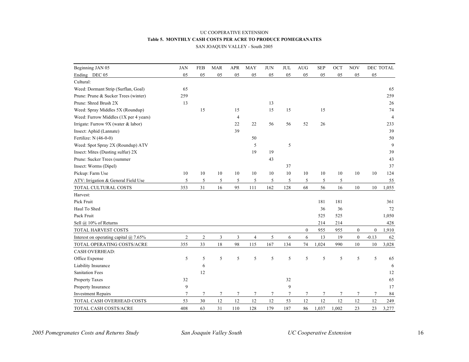#### UC COOPERATIVE EXTENSION **Table 5. MONTHLY CASH COSTS PER ACRE TO PRODUCE POMEGRANATES** SAN JOAQUIN VALLEY - South 2005

| Beginning JAN 05                             | <b>JAN</b>     | <b>FEB</b>     | <b>MAR</b>       | <b>APR</b>     | <b>MAY</b>     | <b>JUN</b> | <b>JUL</b> | <b>AUG</b>       | <b>SEP</b> | OCT        | <b>NOV</b>       |                  | DEC TOTAL      |
|----------------------------------------------|----------------|----------------|------------------|----------------|----------------|------------|------------|------------------|------------|------------|------------------|------------------|----------------|
| Ending DEC 05                                | 05             | 05             | 05               | 05             | 05             | 05         | 05         | 05               | 05         | 05         | 05               | 05               |                |
| Cultural:                                    |                |                |                  |                |                |            |            |                  |            |            |                  |                  |                |
| Weed: Dormant Strip (Surflan, Goal)          | 65             |                |                  |                |                |            |            |                  |            |            |                  |                  | 65             |
| Prune: Prune & Sucker Trees (winter)         | 259            |                |                  |                |                |            |            |                  |            |            |                  |                  | 259            |
| Prune: Shred Brush 2X                        | 13             |                |                  |                |                | 13         |            |                  |            |            |                  |                  | 26             |
| Weed: Spray Middles 5X (Roundup)             |                | 15             |                  | 15             |                | 15         | 15         |                  | 15         |            |                  |                  | 74             |
| Weed: Furrow Middles (1X per 4 years)        |                |                |                  | $\overline{4}$ |                |            |            |                  |            |            |                  |                  | $\overline{4}$ |
| Irrigate: Furrow 9X (water & labor)          |                |                |                  | 22             | 22             | 56         | 56         | 52               | 26         |            |                  |                  | 233            |
| Insect: Aphid (Lannate)                      |                |                |                  | 39             |                |            |            |                  |            |            |                  |                  | 39             |
| Fertilize: N (46-0-0)                        |                |                |                  |                | 50             |            |            |                  |            |            |                  |                  | 50             |
| Weed: Spot Spray 2X (Roundup) ATV            |                |                |                  |                | 5              |            | 5          |                  |            |            |                  |                  | 9              |
| Insect: Mites (Dusting sulfur) 2X            |                |                |                  |                | 19             | 19         |            |                  |            |            |                  |                  | 39             |
| Prune: Sucker Trees (summer                  |                |                |                  |                |                | 43         |            |                  |            |            |                  |                  | 43             |
| Insect: Worms (Dipel)                        |                |                |                  |                |                |            | 37         |                  |            |            |                  |                  | 37             |
| Pickup: Farm Use                             | 10             | 10             | 10               | 10             | 10             | 10         | 10         | 10               | 10         | 10         | 10               | 10               | 124            |
| ATV: Irrigation & General Field Use          | 5              | 5              | 5                | 5              | 5              | 5          | 5          | 5                | 5          | $\sqrt{5}$ |                  |                  | 55             |
| TOTAL CULTURAL COSTS                         | 353            | 31             | 16               | 95             | 111            | 162        | 128        | 68               | 56         | 16         | 10               | 10               | 1,055          |
| Harvest:                                     |                |                |                  |                |                |            |            |                  |            |            |                  |                  |                |
| Pick Fruit                                   |                |                |                  |                |                |            |            |                  | 181        | 181        |                  |                  | 361            |
| Haul To Shed                                 |                |                |                  |                |                |            |            |                  | 36         | 36         |                  |                  | 72             |
| Pack Fruit                                   |                |                |                  |                |                |            |            |                  | 525        | 525        |                  |                  | 1,050          |
| Sell @ 10% of Returns                        |                |                |                  |                |                |            |            |                  | 214        | 214        |                  |                  | 428            |
| TOTAL HARVEST COSTS                          |                |                |                  |                |                |            |            | $\boldsymbol{0}$ | 955        | 955        | $\boldsymbol{0}$ | $\boldsymbol{0}$ | 1,910          |
| Interest on operating capital $\omega$ 7.65% | $\overline{c}$ | $\overline{2}$ | $\mathfrak{Z}$   | $\mathfrak{Z}$ | $\overline{4}$ | 5          | 6          | 6                | 13         | 19         | $\boldsymbol{0}$ | $-0.13$          | 62             |
| TOTAL OPERATING COSTS/ACRE                   | 355            | 33             | 18               | 98             | 115            | 167        | 134        | 74               | 1,024      | 990        | 10               | 10               | 3,028          |
| <b>CASH OVERHEAD:</b>                        |                |                |                  |                |                |            |            |                  |            |            |                  |                  |                |
| Office Expense                               | 5              | 5              | 5                | 5              | 5              | 5          | 5          | 5                | 5          | 5          | 5                | 5                | 65             |
| Liability Insurance                          |                | 6              |                  |                |                |            |            |                  |            |            |                  |                  | 6              |
| <b>Sanitation Fees</b>                       |                | 12             |                  |                |                |            |            |                  |            |            |                  |                  | 12             |
| Property Taxes                               | 32             |                |                  |                |                |            | 32         |                  |            |            |                  |                  | 65             |
| Property Insurance                           | 9              |                |                  |                |                |            | 9          |                  |            |            |                  |                  | 17             |
| <b>Investment Repairs</b>                    | 7              | $\tau$         | $\boldsymbol{7}$ | 7              | $\overline{7}$ | $\tau$     | $\tau$     | 7                | 7          | 7          | $\tau$           | $\tau$           | 84             |
| TOTAL CASH OVERHEAD COSTS                    | 53             | 30             | 12               | 12             | 12             | 12         | 53         | 12               | 12         | 12         | 12               | 12               | 249            |
| TOTAL CASH COSTS/ACRE                        | 408            | 63             | 31               | 110            | 128            | 179        | 187        | 86               | 1,037      | 1,002      | 23               | 23               | 3,277          |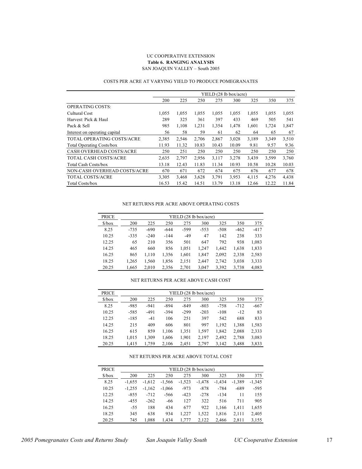#### UC COOPERATIVE EXTENSION **Table 6. RANGING ANALYSIS** SAN JOAQUIN VALLEY – South 2005

#### COSTS PER ACRE AT VARYING YIELD TO PRODUCE POMEGRANATES

|                                   | YIELD (28 lb box/acre) |       |       |       |       |       |       |       |  |  |
|-----------------------------------|------------------------|-------|-------|-------|-------|-------|-------|-------|--|--|
|                                   | 200                    | 225   | 250   | 275   | 300   | 325   | 350   | 375   |  |  |
| <b>OPERATING COSTS:</b>           |                        |       |       |       |       |       |       |       |  |  |
| Cultural Cost                     | 1,055                  | 1,055 | 1,055 | 1,055 | 1,055 | 1,055 | 1,055 | 1,055 |  |  |
| Harvest: Pick & Haul              | 289                    | 325   | 361   | 397   | 433   | 469   | 505   | 541   |  |  |
| Pack & Sell                       | 985                    | 1,108 | 1,231 | 1,354 | 1,478 | 1,601 | 1,724 | 1,847 |  |  |
| Interest on operating capital     | 56                     | 58    | 59    | 61    | 62    | 64    | 65    | 67    |  |  |
| <b>TOTAL OPERATING COSTS/ACRE</b> | 2,385                  | 2,546 | 2,706 | 2,867 | 3,028 | 3,189 | 3,349 | 3,510 |  |  |
| <b>Total Operating Costs/box</b>  | 11.93                  | 11.32 | 10.83 | 10.43 | 10.09 | 9.81  | 9.57  | 9.36  |  |  |
| <b>CASH OVERHEAD COSTS/ACRE</b>   | 250                    | 251   | 250   | 250   | 250   | 250   | 250   | 250   |  |  |
| <b>TOTAL CASH COSTS/ACRE</b>      | 2,635                  | 2,797 | 2,956 | 3,117 | 3,278 | 3,439 | 3,599 | 3,760 |  |  |
| <b>Total Cash Costs/box</b>       | 13.18                  | 12.43 | 11.83 | 11.34 | 10.93 | 10.58 | 10.28 | 10.03 |  |  |
| NON-CASH OVERHEAD COSTS/ACRE      | 670                    | 671   | 672   | 674   | 675   | 676   | 677   | 678   |  |  |
| <b>TOTAL COSTS/ACRE</b>           | 3,305                  | 3,468 | 3,628 | 3,791 | 3,953 | 4,115 | 4,276 | 4,438 |  |  |
| <b>Total Costs/box</b>            | 16.53                  | 15.42 | 14.51 | 13.79 | 13.18 | 12.66 | 12.22 | 11.84 |  |  |

#### NET RETURNS PER ACRE ABOVE OPERATING COSTS

| <b>PRICE</b>                  | YIELD (28 lb box/acre) |        |        |       |        |        |        |        |  |  |  |  |
|-------------------------------|------------------------|--------|--------|-------|--------|--------|--------|--------|--|--|--|--|
| $\frac{\text{S}}{\text{box}}$ | 200                    | 225    | 250    | 275   | 300    | 325    | 350    | 375    |  |  |  |  |
| 8.25                          | $-735$                 | -690   | $-644$ | -599  | $-553$ | $-508$ | $-462$ | $-417$ |  |  |  |  |
| 10.25                         | $-335$                 | $-240$ | $-144$ | $-49$ | 47     | 142    | 238    | 333    |  |  |  |  |
| 12.25                         | 65                     | 210    | 356    | 501   | 647    | 792    | 938    | 1,083  |  |  |  |  |
| 14.25                         | 465                    | 660    | 856    | 1,051 | 1.247  | 1,442  | 1,638  | 1,833  |  |  |  |  |
| 16.25                         | 865                    | 1,110  | 1,356  | 1,601 | 1,847  | 2,092  | 2,338  | 2,583  |  |  |  |  |
| 18.25                         | 1,265                  | 1,560  | 1,856  | 2,151 | 2,447  | 2,742  | 3,038  | 3,333  |  |  |  |  |
| 20.25                         | 1,665                  | 2,010  | 2,356  | 2,701 | 3,047  | 3,392  | 3,738  | 4,083  |  |  |  |  |

#### NET RETURNS PER ACRE ABOVE CASH COST

| <b>PRICE</b>                  | YIELD (28 lb box/acre) |        |        |        |        |        |        |        |  |  |  |  |
|-------------------------------|------------------------|--------|--------|--------|--------|--------|--------|--------|--|--|--|--|
| $\frac{\text{S}}{\text{box}}$ | 200                    | 225    | 250    | 275    | 300    | 325    | 350    | 375    |  |  |  |  |
| 8.25                          | $-985$                 | $-941$ | $-894$ | $-849$ | $-803$ | $-758$ | $-712$ | $-667$ |  |  |  |  |
| 10.25                         | $-585$                 | $-491$ | $-394$ | $-299$ | $-203$ | $-108$ | $-12$  | 83     |  |  |  |  |
| 12.25                         | $-185$                 | $-41$  | 106    | 251    | 397    | 542    | 688    | 833    |  |  |  |  |
| 14.25                         | 215                    | 409    | 606    | 801    | 997    | 1,192  | 1,388  | 1,583  |  |  |  |  |
| 16.25                         | 615                    | 859    | 1,106  | 1,351  | 1,597  | 1,842  | 2,088  | 2,333  |  |  |  |  |
| 18.25                         | 1,015                  | 1,309  | 1,606  | 1,901  | 2,197  | 2.492  | 2,788  | 3,083  |  |  |  |  |
| 20.25                         | 1,415                  | 1,759  | 2,106  | 2,451  | 2,797  | 3,142  | 3,488  | 3,833  |  |  |  |  |

#### NET RETURNS PER ACRE ABOVE TOTAL COST

| <b>PRICE</b>                  | YIELD (28 lb box/acre) |          |          |          |          |          |          |          |  |  |  |  |
|-------------------------------|------------------------|----------|----------|----------|----------|----------|----------|----------|--|--|--|--|
| $\frac{\text{S}}{\text{box}}$ | 200                    | 225      | 250      | 275      | 300      | 325      | 350      | 375      |  |  |  |  |
| 8.25                          | $-1.655$               | $-1.612$ | $-1,566$ | $-1,523$ | $-1,478$ | $-1,434$ | $-1,389$ | $-1,345$ |  |  |  |  |
| 10.25                         | $-1.255$               | $-1,162$ | $-1,066$ | $-973$   | $-878$   | $-784$   | $-689$   | $-595$   |  |  |  |  |
| 12.25                         | $-855$                 | $-712$   | $-566$   | $-423$   | $-278$   | $-134$   | 11       | 155      |  |  |  |  |
| 14.25                         | $-455$                 | $-262$   | -66      | 127      | 322      | 516      | 711      | 905      |  |  |  |  |
| 16.25                         | $-55$                  | 188      | 434      | 677      | 922      | 1,166    | 1,411    | 1,655    |  |  |  |  |
| 18.25                         | 345                    | 638      | 934      | 1,227    | 1,522    | 1,816    | 2,111    | 2,405    |  |  |  |  |
| 20.25                         | 745                    | 1,088    | 1,434    | 1,777    | 2,122    | 2,466    | 2,811    | 3,155    |  |  |  |  |
|                               |                        |          |          |          |          |          |          |          |  |  |  |  |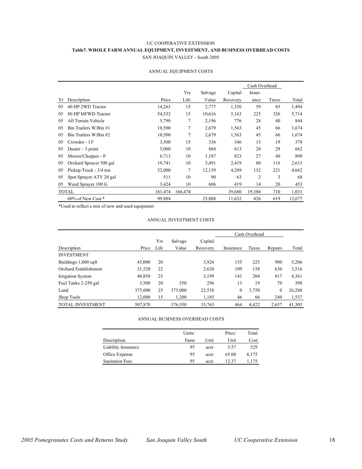#### UC COOPERATIVE EXTENSION **Table7. WHOLE FARM ANNUAL EQUIPMENT, INVESTMENT, AND BUSINESS OVERHEAD COSTS** SAN JOAQUIN VALLEY - South 2005

|    |                         |         |         |         |          | Cash Overhead  |       |        |
|----|-------------------------|---------|---------|---------|----------|----------------|-------|--------|
|    |                         |         | Yrs     | Salvage | Capital  | Insur-         |       |        |
| Yr | Description             | Price   | Life    | Value   | Recovery | ance           | Taxes | Total  |
| 05 | 40 HP 2WD Tractor       | 14,263  | 15      | 2,777   | 1,350    | 59             | 85    | 1,494  |
| 05 | 80 HP MFWD Tractor      | 54,532  | 15      | 10,616  | 5,163    | 225            | 326   | 5,714  |
| 05 | All Terrain Vehicle     | 5,790   | 7       | 2,196   | 776      | 28             | 40    | 844    |
| 05 | Bin Trailers W/Bin #1   | 10,500  | 7       | 2,679   | 1,563    | 45             | 66    | 1,674  |
| 05 | Bin Trailers W/Bin #2   | 10,500  | 7       | 2,679   | 1,563    | 45             | 66    | 1,674  |
| 05 | Crowder - 13'           | 3,500   | 15      | 336     | 346      | 13             | 19    | 378    |
| 05 | Duster $-3$ point       | 5,000   | 10      | 884     | 613      | 20             | 29    | 662    |
| 05 | Mower/Chopper - 8'      | 6,713   | 10      | 1,187   | 823      | 27             | 40    | 890    |
| 05 | Orchard Sprayer 500 gal | 19,741  | 10      | 3,491   | 2,419    | 80             | 116   | 2,615  |
| 05 | Pickup Truck - 3/4 ton  | 32,000  | 7       | 12,139  | 4,289    | 152            | 221   | 4,662  |
| 05 | Spot Sprayer ATV 20 gal | 511     | 10      | 90      | 63       | $\overline{2}$ | 3     | 68     |
| 05 | Weed Sprayer 100 G      | 3,424   | 10      | 606     | 419      | 14             | 20    | 453    |
|    | <b>TOTAL</b>            | 161,474 | 166,474 |         | 39,680   | 19,386         | 710   | 1,031  |
|    | $60\%$ of New Cost $*$  | 99,884  |         | 23,808  | 11,632   | 426            | 619   | 12,677 |

#### ANNUAL EQUIPMENT COSTS

\*Used to reflect a mix of new and used equipment

#### ANNUAL INVESTMENT COSTS

|                         |         |      |         |          | Cash Overhead |       |                |        |
|-------------------------|---------|------|---------|----------|---------------|-------|----------------|--------|
|                         |         | Yrs  | Salvage | Capital  |               |       |                |        |
| Description             | Price   | Life | Value   | Recovery | Insurance     | Taxes | Repairs        | Total  |
| <b>INVESTMENT</b>       |         |      |         |          |               |       |                |        |
| Buildings 1,800 sqft    | 45.000  | 20   |         | 3,926    | 155           | 225   | 900            | 5,206  |
| Orchard Establishment   | 31,520  | 22   |         | 2,620    | 109           | 158   | 630            | 3,516  |
| Irrigation System       | 40,850  | 25   |         | 3,199    | 141           | 204   | 817            | 4,361  |
| Fuel Tanks 2-250 gal    | 3.500   | 20   | 350     | 296      | 13            | 19    | 70             | 398    |
| Land                    | 375,000 | 25   | 375,000 | 22,538   | $\mathbf{0}$  | 3,750 | $\overline{0}$ | 26,288 |
| Shop Tools              | 12.000  | 15   | 1,200   | 1,185    | 46            | 66    | 240            | 1,537  |
| <b>TOTAL INVESTMENT</b> | 507,870 |      | 376,550 | 33,763   | 464           | 4,422 | 2,657          | 41,305 |

#### ANNUAL BUSINESS OVERHEAD COSTS

|                        | Units/ |      | Price/ | Total |
|------------------------|--------|------|--------|-------|
| Description            | Farm   | Unit | Unit   | Cost  |
| Liability Insurance    | 95     | acre | 5.57   | 529   |
| Office Expense         | 95     | acre | 65.00  | 6,175 |
| <b>Sanitation Fees</b> | 95     | acre | 12.37  | 1.175 |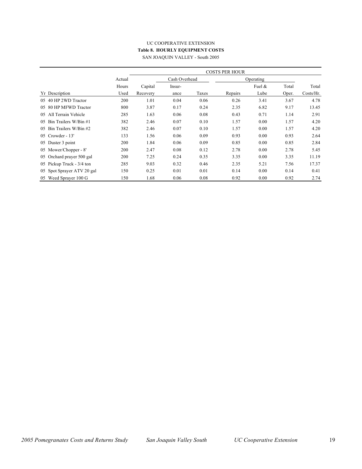#### UC COOPERATIVE EXTENSION **Table 8. HOURLY EQUIPMENT COSTS** SAN JOAQUIN VALLEY - South 2005

|                            |        |          | <b>COSTS PER HOUR</b> |       |         |           |       |           |  |  |
|----------------------------|--------|----------|-----------------------|-------|---------|-----------|-------|-----------|--|--|
|                            | Actual |          | Cash Overhead         |       |         | Operating |       |           |  |  |
|                            | Hours  | Capital  | Insur-                |       |         | Fuel $\&$ | Total | Total     |  |  |
| Yr Description             | Used   | Recovery | ance                  | Taxes | Repairs | Lube      | Oper. | Costs/Hr. |  |  |
| 05 40 HP 2WD Tractor       | 200    | 1.01     | 0.04                  | 0.06  | 0.26    | 3.41      | 3.67  | 4.78      |  |  |
| 05 80 HP MFWD Tractor      | 800    | 3.87     | 0.17                  | 0.24  | 2.35    | 6.82      | 9.17  | 13.45     |  |  |
| 05 All Terrain Vehicle     | 285    | 1.63     | 0.06                  | 0.08  | 0.43    | 0.71      | 1.14  | 2.91      |  |  |
| 05 Bin Trailers W/Bin #1   | 382    | 2.46     | 0.07                  | 0.10  | 1.57    | 0.00      | 1.57  | 4.20      |  |  |
| 05 Bin Trailers W/Bin #2   | 382    | 2.46     | 0.07                  | 0.10  | 1.57    | 0.00      | 1.57  | 4.20      |  |  |
| $05$ Crowder - 13'         | 133    | 1.56     | 0.06                  | 0.09  | 0.93    | 0.00      | 0.93  | 2.64      |  |  |
| 05 Duster 3 point          | 200    | 1.84     | 0.06                  | 0.09  | 0.85    | 0.00      | 0.85  | 2.84      |  |  |
| 05 Mower/Chopper - 8'      | 200    | 2.47     | 0.08                  | 0.12  | 2.78    | 0.00      | 2.78  | 5.45      |  |  |
| 05 Orchard prayer 500 gal  | 200    | 7.25     | 0.24                  | 0.35  | 3.35    | 0.00      | 3.35  | 11.19     |  |  |
| 05 Pickup Truck - 3/4 ton  | 285    | 9.03     | 0.32                  | 0.46  | 2.35    | 5.21      | 7.56  | 17.37     |  |  |
| 05 Spot Sprayer ATV 20 gal | 150    | 0.25     | 0.01                  | 0.01  | 0.14    | 0.00      | 0.14  | 0.41      |  |  |
| 05 Weed Sprayer 100 G      | 150    | 1.68     | 0.06                  | 0.08  | 0.92    | 0.00      | 0.92  | 2.74      |  |  |